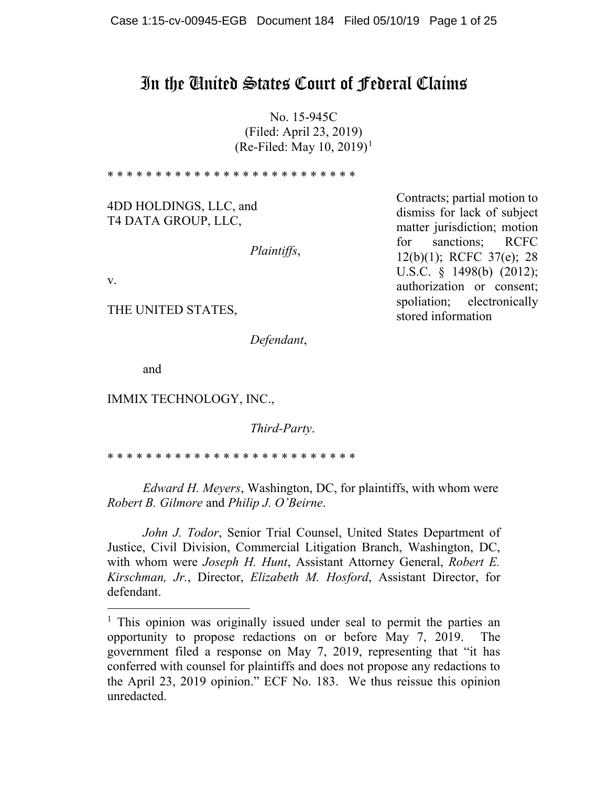# In the United States Court of Federal Claims

No. 15-945C (Filed: April 23, 2019) (Re-Filed: May [1](#page-0-0)0, 2019)<sup>1</sup>

\* \* \* \* \* \* \* \* \* \* \* \* \* \* \* \* \* \* \* \* \* \* \* \* \* \* 4DD HOLDINGS, LLC, and T4 DATA GROUP, LLC, *Plaintiffs*, v. THE UNITED STATES, *Defendant*, Contracts; partial motion to dismiss for lack of subject matter jurisdiction; motion for sanctions; RCFC 12(b)(1); RCFC 37(e); 28 U.S.C. § 1498(b) (2012); authorization or consent; spoliation; electronically stored information

and

IMMIX TECHNOLOGY, INC.,

*Third-Party*.

\* \* \* \* \* \* \* \* \* \* \* \* \* \* \* \* \* \* \* \* \* \* \* \* \* \*

*Edward H. Meyers*, Washington, DC, for plaintiffs, with whom were *Robert B. Gilmore* and *Philip J. O'Beirne*.

*John J. Todor*, Senior Trial Counsel, United States Department of Justice, Civil Division, Commercial Litigation Branch, Washington, DC, with whom were *Joseph H. Hunt*, Assistant Attorney General, *Robert E. Kirschman, Jr.*, Director, *Elizabeth M. Hosford*, Assistant Director, for defendant.

<span id="page-0-0"></span><sup>&</sup>lt;sup>1</sup> This opinion was originally issued under seal to permit the parties an opportunity to propose redactions on or before May 7, 2019. The government filed a response on May 7, 2019, representing that "it has conferred with counsel for plaintiffs and does not propose any redactions to the April 23, 2019 opinion." ECF No. 183. We thus reissue this opinion unredacted.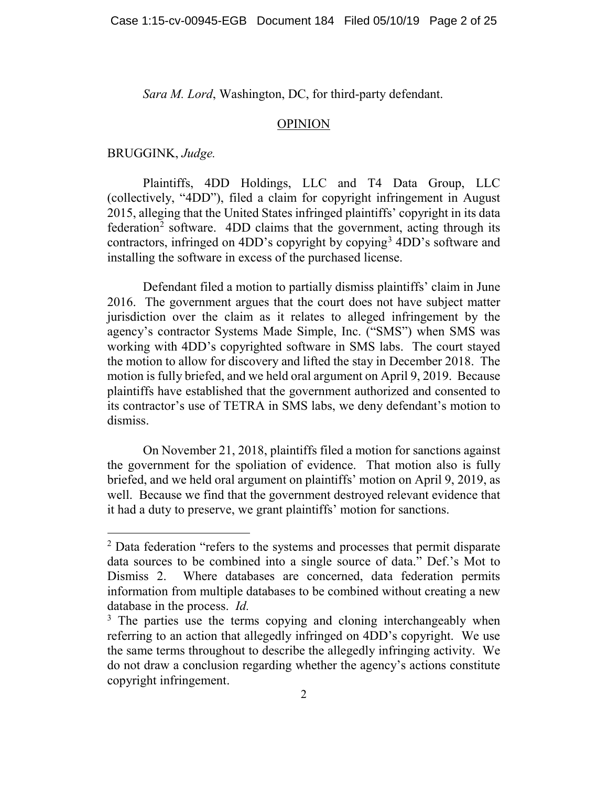*Sara M. Lord*, Washington, DC, for third-party defendant.

#### OPINION

BRUGGINK, *Judge.*

Plaintiffs, 4DD Holdings, LLC and T4 Data Group, LLC (collectively, "4DD"), filed a claim for copyright infringement in August 2015, alleging that the United States infringed plaintiffs' copyright in its data  $f$ ederation<sup>[2](#page-1-0)</sup> software.  $4DD$  claims that the government, acting through its contractors, infringed on 4DD's copyright by copying[3](#page-1-1) 4DD's software and installing the software in excess of the purchased license.

Defendant filed a motion to partially dismiss plaintiffs' claim in June 2016. The government argues that the court does not have subject matter jurisdiction over the claim as it relates to alleged infringement by the agency's contractor Systems Made Simple, Inc. ("SMS") when SMS was working with 4DD's copyrighted software in SMS labs. The court stayed the motion to allow for discovery and lifted the stay in December 2018. The motion is fully briefed, and we held oral argument on April 9, 2019. Because plaintiffs have established that the government authorized and consented to its contractor's use of TETRA in SMS labs, we deny defendant's motion to dismiss.

On November 21, 2018, plaintiffs filed a motion for sanctions against the government for the spoliation of evidence. That motion also is fully briefed, and we held oral argument on plaintiffs' motion on April 9, 2019, as well. Because we find that the government destroyed relevant evidence that it had a duty to preserve, we grant plaintiffs' motion for sanctions.

<span id="page-1-0"></span><sup>&</sup>lt;sup>2</sup> Data federation "refers to the systems and processes that permit disparate data sources to be combined into a single source of data." Def.'s Mot to Dismiss 2. Where databases are concerned, data federation permits information from multiple databases to be combined without creating a new database in the process. *Id.* 

<span id="page-1-1"></span><sup>&</sup>lt;sup>3</sup> The parties use the terms copying and cloning interchangeably when referring to an action that allegedly infringed on 4DD's copyright. We use the same terms throughout to describe the allegedly infringing activity. We do not draw a conclusion regarding whether the agency's actions constitute copyright infringement.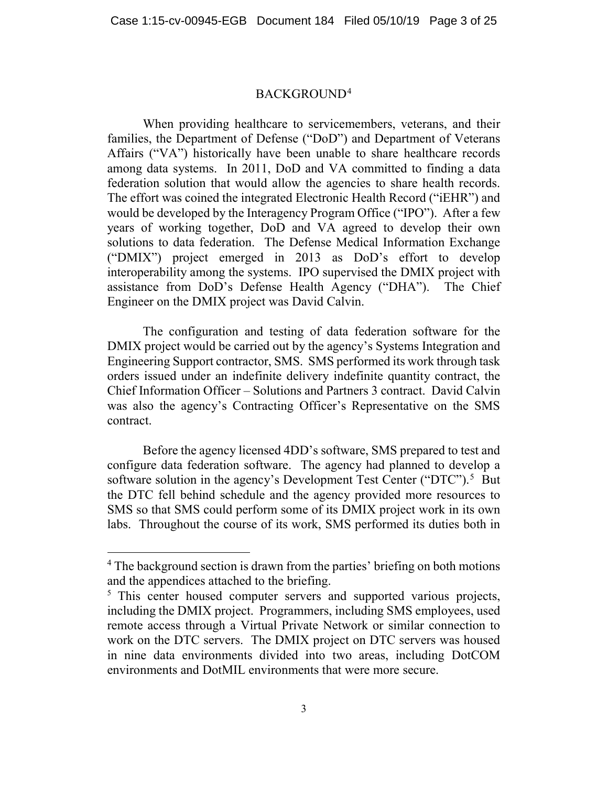## BACKGROUND[4](#page-2-0)

When providing healthcare to servicemembers, veterans, and their families, the Department of Defense ("DoD") and Department of Veterans Affairs ("VA") historically have been unable to share healthcare records among data systems. In 2011, DoD and VA committed to finding a data federation solution that would allow the agencies to share health records. The effort was coined the integrated Electronic Health Record ("iEHR") and would be developed by the Interagency Program Office ("IPO"). After a few years of working together, DoD and VA agreed to develop their own solutions to data federation. The Defense Medical Information Exchange ("DMIX") project emerged in 2013 as DoD's effort to develop interoperability among the systems. IPO supervised the DMIX project with assistance from DoD's Defense Health Agency ("DHA"). The Chief Engineer on the DMIX project was David Calvin.

The configuration and testing of data federation software for the DMIX project would be carried out by the agency's Systems Integration and Engineering Support contractor, SMS. SMS performed its work through task orders issued under an indefinite delivery indefinite quantity contract, the Chief Information Officer – Solutions and Partners 3 contract. David Calvin was also the agency's Contracting Officer's Representative on the SMS contract.

Before the agency licensed 4DD's software, SMS prepared to test and configure data federation software. The agency had planned to develop a software solution in the agency's Development Test Center ("DTC").<sup>[5](#page-2-1)</sup> But the DTC fell behind schedule and the agency provided more resources to SMS so that SMS could perform some of its DMIX project work in its own labs. Throughout the course of its work, SMS performed its duties both in

<span id="page-2-0"></span><sup>&</sup>lt;sup>4</sup> The background section is drawn from the parties' briefing on both motions and the appendices attached to the briefing.

<span id="page-2-1"></span><sup>&</sup>lt;sup>5</sup> This center housed computer servers and supported various projects, including the DMIX project. Programmers, including SMS employees, used remote access through a Virtual Private Network or similar connection to work on the DTC servers. The DMIX project on DTC servers was housed in nine data environments divided into two areas, including DotCOM environments and DotMIL environments that were more secure.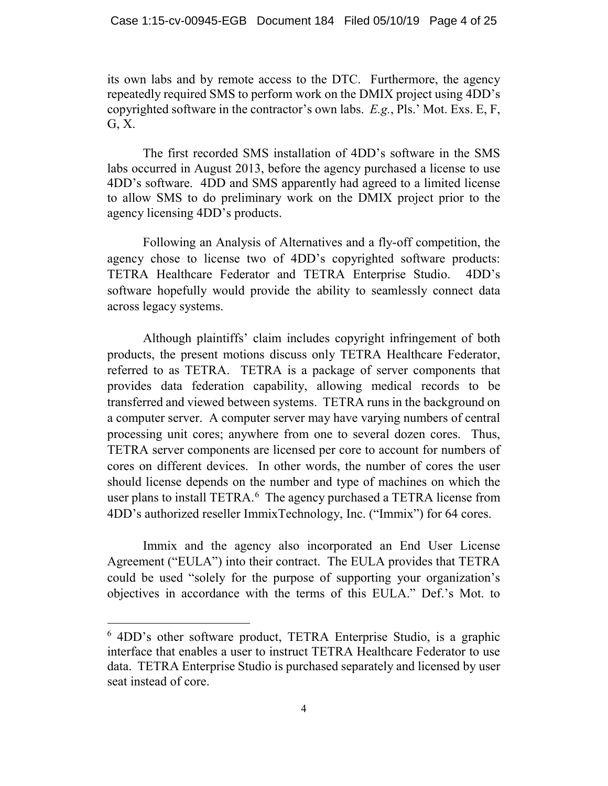its own labs and by remote access to the DTC. Furthermore, the agency repeatedly required SMS to perform work on the DMIX project using 4DD's copyrighted software in the contractor's own labs. *E.g.*, Pls.' Mot. Exs. E, F, G, X.

The first recorded SMS installation of 4DD's software in the SMS labs occurred in August 2013, before the agency purchased a license to use 4DD's software. 4DD and SMS apparently had agreed to a limited license to allow SMS to do preliminary work on the DMIX project prior to the agency licensing 4DD's products.

Following an Analysis of Alternatives and a fly-off competition, the agency chose to license two of 4DD's copyrighted software products: TETRA Healthcare Federator and TETRA Enterprise Studio. 4DD's software hopefully would provide the ability to seamlessly connect data across legacy systems.

Although plaintiffs' claim includes copyright infringement of both products, the present motions discuss only TETRA Healthcare Federator, referred to as TETRA. TETRA is a package of server components that provides data federation capability, allowing medical records to be transferred and viewed between systems. TETRA runs in the background on a computer server. A computer server may have varying numbers of central processing unit cores; anywhere from one to several dozen cores. Thus, TETRA server components are licensed per core to account for numbers of cores on different devices. In other words, the number of cores the user should license depends on the number and type of machines on which the user plans to install TETRA.<sup>[6](#page-3-0)</sup> The agency purchased a TETRA license from 4DD's authorized reseller ImmixTechnology, Inc. ("Immix") for 64 cores.

Immix and the agency also incorporated an End User License Agreement ("EULA") into their contract. The EULA provides that TETRA could be used "solely for the purpose of supporting your organization's objectives in accordance with the terms of this EULA." Def.'s Mot. to

<span id="page-3-0"></span> <sup>6</sup> 4DD's other software product, TETRA Enterprise Studio, is a graphic interface that enables a user to instruct TETRA Healthcare Federator to use data. TETRA Enterprise Studio is purchased separately and licensed by user seat instead of core.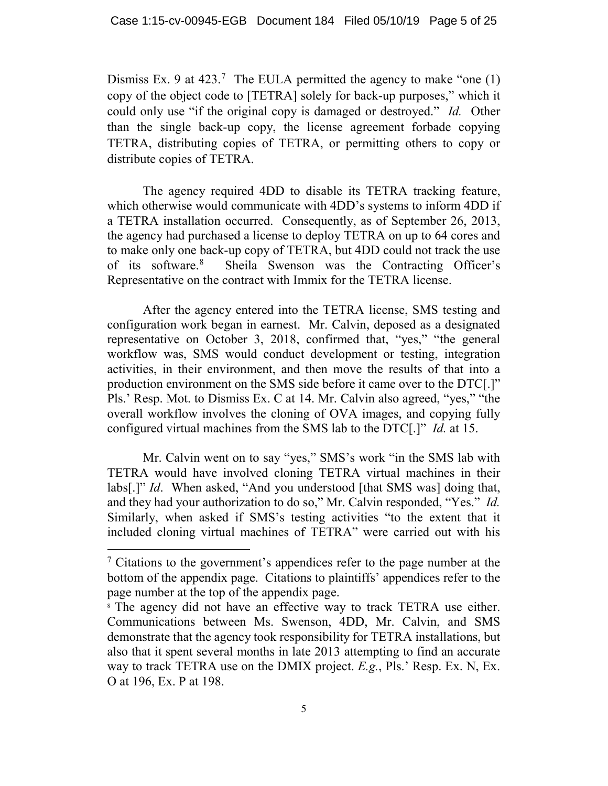Dismiss Ex. 9 at  $423$ .<sup>[7](#page-4-0)</sup> The EULA permitted the agency to make "one (1) copy of the object code to [TETRA] solely for back-up purposes," which it could only use "if the original copy is damaged or destroyed." *Id.* Other than the single back-up copy, the license agreement forbade copying TETRA, distributing copies of TETRA, or permitting others to copy or distribute copies of TETRA.

The agency required 4DD to disable its TETRA tracking feature, which otherwise would communicate with 4DD's systems to inform 4DD if a TETRA installation occurred. Consequently, as of September 26, 2013, the agency had purchased a license to deploy TETRA on up to 64 cores and to make only one back-up copy of TETRA, but 4DD could not track the use of its software.[8](#page-4-1) Sheila Swenson was the Contracting Officer's Representative on the contract with Immix for the TETRA license.

After the agency entered into the TETRA license, SMS testing and configuration work began in earnest. Mr. Calvin, deposed as a designated representative on October 3, 2018, confirmed that, "yes," "the general workflow was, SMS would conduct development or testing, integration activities, in their environment, and then move the results of that into a production environment on the SMS side before it came over to the DTC[.]" Pls.' Resp. Mot. to Dismiss Ex. C at 14. Mr. Calvin also agreed, "yes," "the overall workflow involves the cloning of OVA images, and copying fully configured virtual machines from the SMS lab to the DTC[.]" *Id.* at 15.

Mr. Calvin went on to say "yes," SMS's work "in the SMS lab with TETRA would have involved cloning TETRA virtual machines in their labs[.]" *Id*. When asked, "And you understood [that SMS was] doing that, and they had your authorization to do so," Mr. Calvin responded, "Yes." *Id.*  Similarly, when asked if SMS's testing activities "to the extent that it included cloning virtual machines of TETRA" were carried out with his

<span id="page-4-0"></span> <sup>7</sup> Citations to the government's appendices refer to the page number at the bottom of the appendix page. Citations to plaintiffs' appendices refer to the page number at the top of the appendix page.<br><sup>8</sup> The agency did not have an effective way to track TETRA use either.

<span id="page-4-1"></span>Communications between Ms. Swenson, 4DD, Mr. Calvin, and SMS demonstrate that the agency took responsibility for TETRA installations, but also that it spent several months in late 2013 attempting to find an accurate way to track TETRA use on the DMIX project. *E.g.*, Pls.' Resp. Ex. N, Ex. O at 196, Ex. P at 198.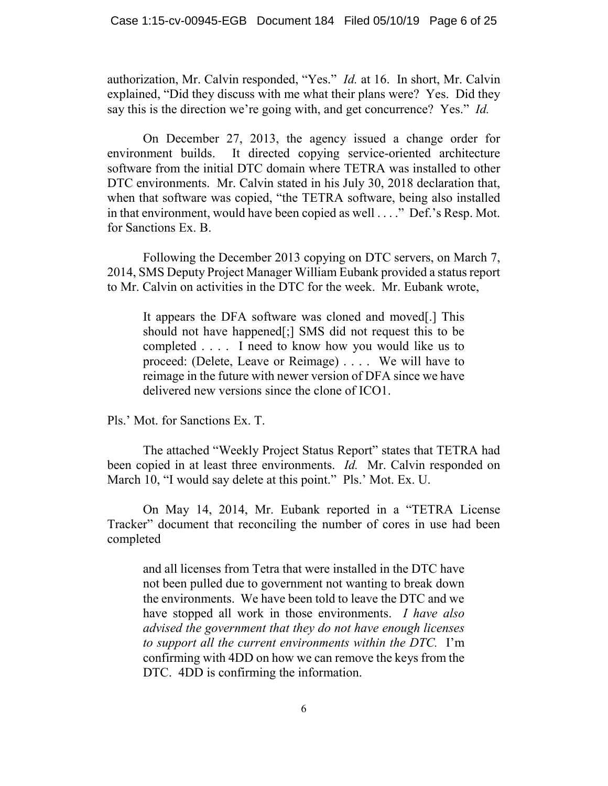authorization, Mr. Calvin responded, "Yes." *Id.* at 16.In short, Mr. Calvin explained, "Did they discuss with me what their plans were? Yes. Did they say this is the direction we're going with, and get concurrence? Yes." *Id.* 

On December 27, 2013, the agency issued a change order for environment builds. It directed copying service-oriented architecture software from the initial DTC domain where TETRA was installed to other DTC environments. Mr. Calvin stated in his July 30, 2018 declaration that, when that software was copied, "the TETRA software, being also installed in that environment, would have been copied as well . . . ." Def.'s Resp. Mot. for Sanctions Ex. B.

Following the December 2013 copying on DTC servers, on March 7, 2014, SMS Deputy Project Manager William Eubank provided a status report to Mr. Calvin on activities in the DTC for the week. Mr. Eubank wrote,

It appears the DFA software was cloned and moved[.] This should not have happened[;] SMS did not request this to be completed . . . . I need to know how you would like us to proceed: (Delete, Leave or Reimage) . . . . We will have to reimage in the future with newer version of DFA since we have delivered new versions since the clone of ICO1.

Pls.' Mot. for Sanctions Ex. T.

The attached "Weekly Project Status Report" states that TETRA had been copied in at least three environments. *Id.* Mr. Calvin responded on March 10, "I would say delete at this point." Pls.' Mot. Ex. U.

On May 14, 2014, Mr. Eubank reported in a "TETRA License Tracker" document that reconciling the number of cores in use had been completed

and all licenses from Tetra that were installed in the DTC have not been pulled due to government not wanting to break down the environments. We have been told to leave the DTC and we have stopped all work in those environments. *I have also advised the government that they do not have enough licenses to support all the current environments within the DTC.* I'm confirming with 4DD on how we can remove the keys from the DTC. 4DD is confirming the information.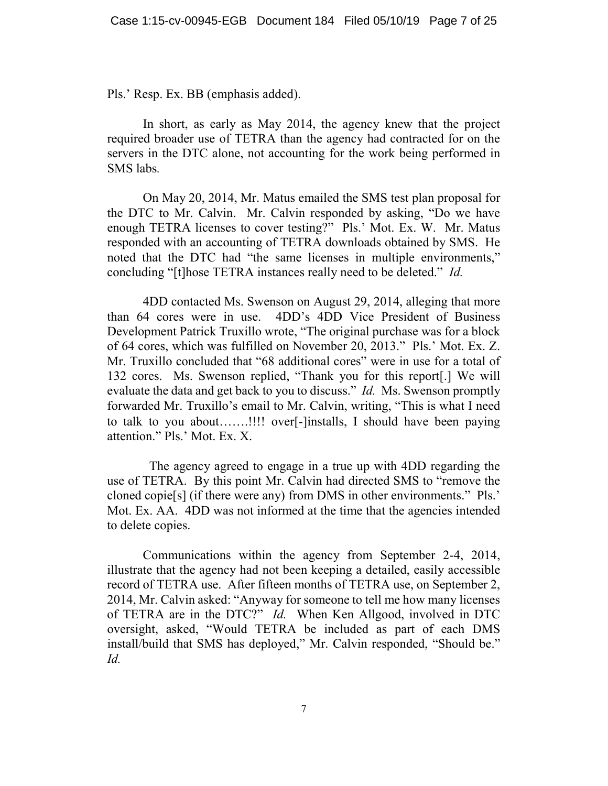Pls.' Resp. Ex. BB (emphasis added).

In short, as early as May 2014, the agency knew that the project required broader use of TETRA than the agency had contracted for on the servers in the DTC alone, not accounting for the work being performed in SMS labs*.* 

On May 20, 2014, Mr. Matus emailed the SMS test plan proposal for the DTC to Mr. Calvin. Mr. Calvin responded by asking, "Do we have enough TETRA licenses to cover testing?" Pls.' Mot. Ex. W. Mr. Matus responded with an accounting of TETRA downloads obtained by SMS. He noted that the DTC had "the same licenses in multiple environments," concluding "[t]hose TETRA instances really need to be deleted." *Id.* 

4DD contacted Ms. Swenson on August 29, 2014, alleging that more than 64 cores were in use. 4DD's 4DD Vice President of Business Development Patrick Truxillo wrote, "The original purchase was for a block of 64 cores, which was fulfilled on November 20, 2013." Pls.' Mot. Ex. Z. Mr. Truxillo concluded that "68 additional cores" were in use for a total of 132 cores. Ms. Swenson replied, "Thank you for this report[.] We will evaluate the data and get back to you to discuss." *Id.* Ms. Swenson promptly forwarded Mr. Truxillo's email to Mr. Calvin, writing, "This is what I need to talk to you about…….!!!! over[-]installs, I should have been paying attention." Pls.' Mot. Ex. X.

 The agency agreed to engage in a true up with 4DD regarding the use of TETRA. By this point Mr. Calvin had directed SMS to "remove the cloned copie[s] (if there were any) from DMS in other environments." Pls.' Mot. Ex. AA. 4DD was not informed at the time that the agencies intended to delete copies.

Communications within the agency from September 2-4, 2014, illustrate that the agency had not been keeping a detailed, easily accessible record of TETRA use. After fifteen months of TETRA use, on September 2, 2014, Mr. Calvin asked: "Anyway for someone to tell me how many licenses of TETRA are in the DTC?" *Id.* When Ken Allgood, involved in DTC oversight, asked, "Would TETRA be included as part of each DMS install/build that SMS has deployed," Mr. Calvin responded, "Should be." *Id.*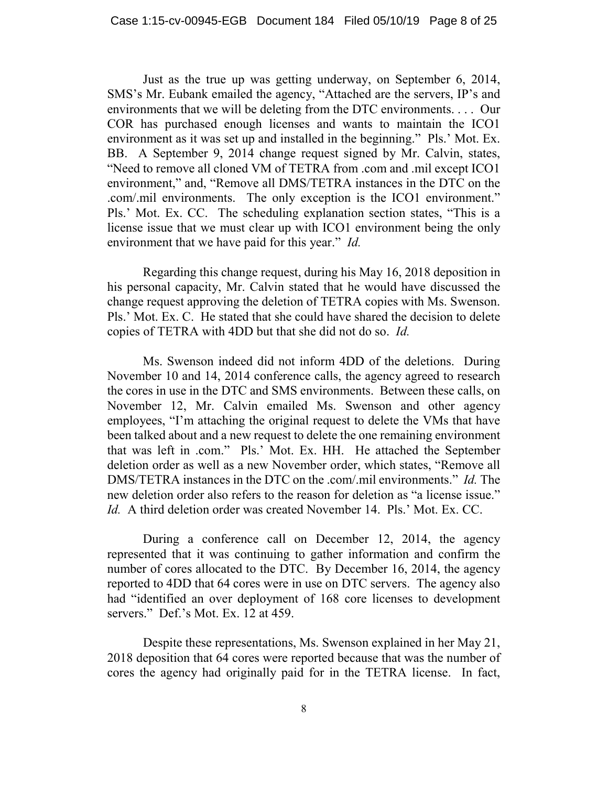Just as the true up was getting underway, on September 6, 2014, SMS's Mr. Eubank emailed the agency, "Attached are the servers, IP's and environments that we will be deleting from the DTC environments. . . . Our COR has purchased enough licenses and wants to maintain the ICO1 environment as it was set up and installed in the beginning." Pls.' Mot. Ex. BB. A September 9, 2014 change request signed by Mr. Calvin, states, "Need to remove all cloned VM of TETRA from .com and .mil except ICO1 environment," and, "Remove all DMS/TETRA instances in the DTC on the .com/.mil environments. The only exception is the ICO1 environment." Pls.' Mot. Ex. CC. The scheduling explanation section states, "This is a license issue that we must clear up with ICO1 environment being the only environment that we have paid for this year." *Id.* 

Regarding this change request, during his May 16, 2018 deposition in his personal capacity, Mr. Calvin stated that he would have discussed the change request approving the deletion of TETRA copies with Ms. Swenson. Pls.' Mot. Ex. C. He stated that she could have shared the decision to delete copies of TETRA with 4DD but that she did not do so. *Id.* 

Ms. Swenson indeed did not inform 4DD of the deletions. During November 10 and 14, 2014 conference calls, the agency agreed to research the cores in use in the DTC and SMS environments. Between these calls, on November 12, Mr. Calvin emailed Ms. Swenson and other agency employees, "I'm attaching the original request to delete the VMs that have been talked about and a new request to delete the one remaining environment that was left in .com." Pls.' Mot. Ex. HH. He attached the September deletion order as well as a new November order, which states, "Remove all DMS/TETRA instances in the DTC on the .com/.mil environments." *Id.* The new deletion order also refers to the reason for deletion as "a license issue." *Id.* A third deletion order was created November 14. Pls.' Mot. Ex. CC.

During a conference call on December 12, 2014, the agency represented that it was continuing to gather information and confirm the number of cores allocated to the DTC. By December 16, 2014, the agency reported to 4DD that 64 cores were in use on DTC servers. The agency also had "identified an over deployment of 168 core licenses to development servers." Def.'s Mot. Ex. 12 at 459.

Despite these representations, Ms. Swenson explained in her May 21, 2018 deposition that 64 cores were reported because that was the number of cores the agency had originally paid for in the TETRA license. In fact,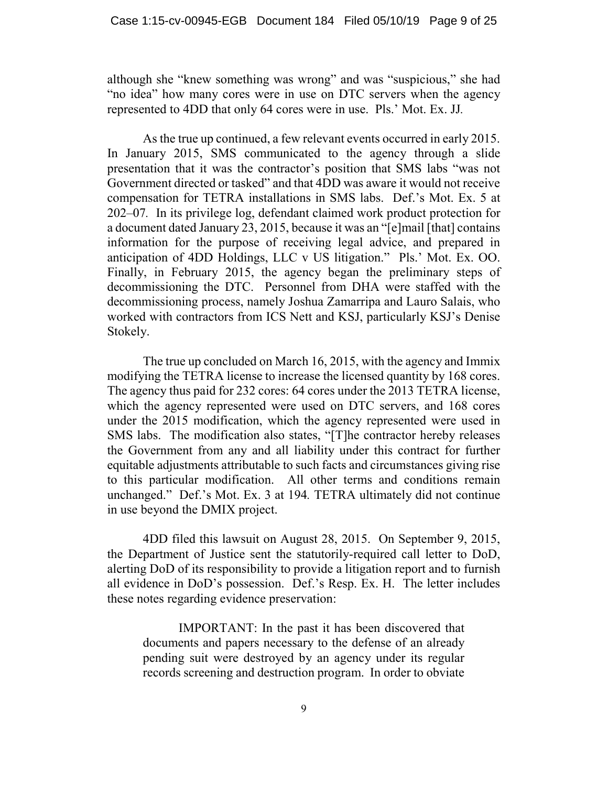although she "knew something was wrong" and was "suspicious," she had "no idea" how many cores were in use on DTC servers when the agency represented to 4DD that only 64 cores were in use. Pls.' Mot. Ex. JJ*.* 

As the true up continued, a few relevant events occurred in early 2015. In January 2015, SMS communicated to the agency through a slide presentation that it was the contractor's position that SMS labs "was not Government directed or tasked" and that 4DD was aware it would not receive compensation for TETRA installations in SMS labs. Def.'s Mot. Ex. 5 at 202–07*.* In its privilege log, defendant claimed work product protection for a document dated January 23, 2015, because it was an "[e]mail [that] contains information for the purpose of receiving legal advice, and prepared in anticipation of 4DD Holdings, LLC v US litigation." Pls.' Mot. Ex. OO. Finally, in February 2015, the agency began the preliminary steps of decommissioning the DTC. Personnel from DHA were staffed with the decommissioning process, namely Joshua Zamarripa and Lauro Salais, who worked with contractors from ICS Nett and KSJ, particularly KSJ's Denise Stokely.

The true up concluded on March 16, 2015, with the agency and Immix modifying the TETRA license to increase the licensed quantity by 168 cores. The agency thus paid for 232 cores: 64 cores under the 2013 TETRA license, which the agency represented were used on DTC servers, and 168 cores under the 2015 modification, which the agency represented were used in SMS labs. The modification also states, "[T]he contractor hereby releases the Government from any and all liability under this contract for further equitable adjustments attributable to such facts and circumstances giving rise to this particular modification. All other terms and conditions remain unchanged." Def.'s Mot. Ex. 3 at 194*.* TETRA ultimately did not continue in use beyond the DMIX project.

4DD filed this lawsuit on August 28, 2015. On September 9, 2015, the Department of Justice sent the statutorily-required call letter to DoD, alerting DoD of its responsibility to provide a litigation report and to furnish all evidence in DoD's possession. Def.'s Resp. Ex. H. The letter includes these notes regarding evidence preservation:

IMPORTANT: In the past it has been discovered that documents and papers necessary to the defense of an already pending suit were destroyed by an agency under its regular records screening and destruction program. In order to obviate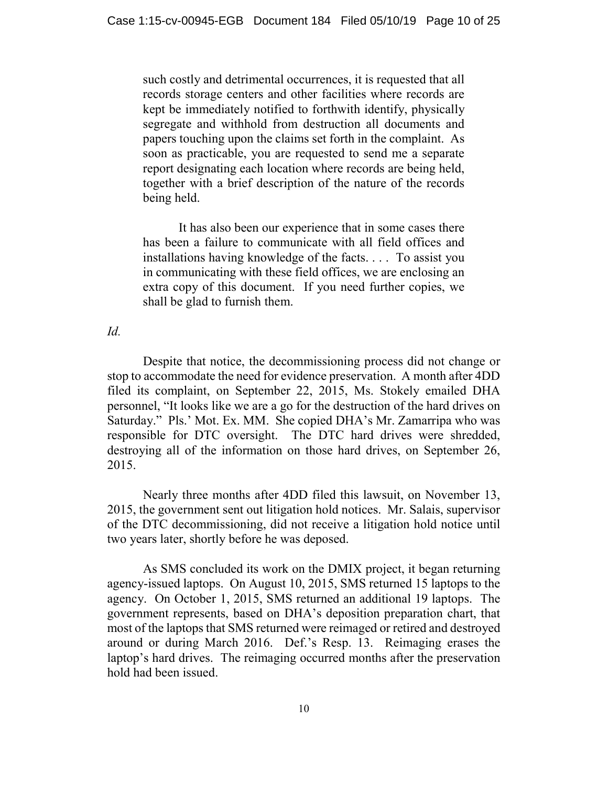such costly and detrimental occurrences, it is requested that all records storage centers and other facilities where records are kept be immediately notified to forthwith identify, physically segregate and withhold from destruction all documents and papers touching upon the claims set forth in the complaint. As soon as practicable, you are requested to send me a separate report designating each location where records are being held, together with a brief description of the nature of the records being held.

It has also been our experience that in some cases there has been a failure to communicate with all field offices and installations having knowledge of the facts. . . . To assist you in communicating with these field offices, we are enclosing an extra copy of this document. If you need further copies, we shall be glad to furnish them.

*Id.* 

Despite that notice, the decommissioning process did not change or stop to accommodate the need for evidence preservation. A month after 4DD filed its complaint, on September 22, 2015, Ms. Stokely emailed DHA personnel, "It looks like we are a go for the destruction of the hard drives on Saturday." Pls.' Mot. Ex. MM. She copied DHA's Mr. Zamarripa who was responsible for DTC oversight. The DTC hard drives were shredded, destroying all of the information on those hard drives, on September 26, 2015.

Nearly three months after 4DD filed this lawsuit, on November 13, 2015, the government sent out litigation hold notices. Mr. Salais, supervisor of the DTC decommissioning, did not receive a litigation hold notice until two years later, shortly before he was deposed.

As SMS concluded its work on the DMIX project, it began returning agency-issued laptops. On August 10, 2015, SMS returned 15 laptops to the agency. On October 1, 2015, SMS returned an additional 19 laptops. The government represents, based on DHA's deposition preparation chart, that most of the laptops that SMS returned were reimaged or retired and destroyed around or during March 2016. Def.'s Resp. 13. Reimaging erases the laptop's hard drives. The reimaging occurred months after the preservation hold had been issued.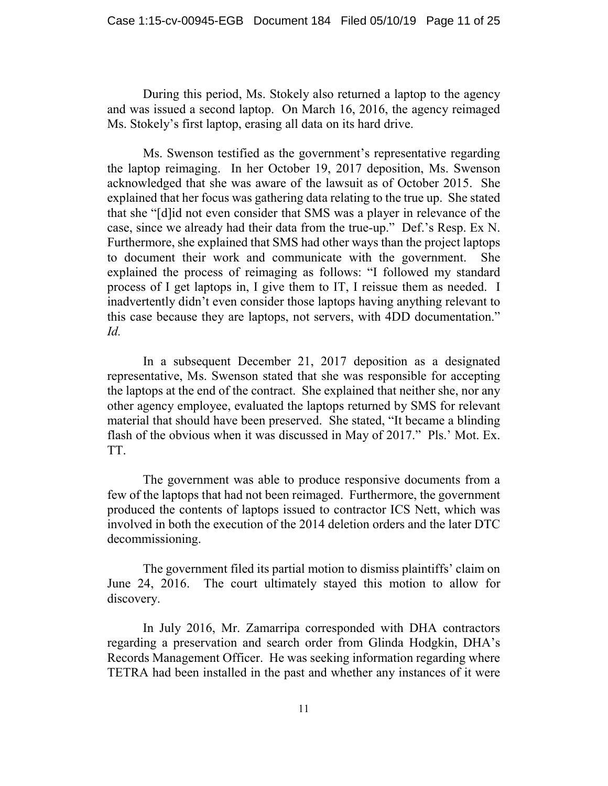During this period, Ms. Stokely also returned a laptop to the agency and was issued a second laptop. On March 16, 2016, the agency reimaged Ms. Stokely's first laptop, erasing all data on its hard drive.

Ms. Swenson testified as the government's representative regarding the laptop reimaging. In her October 19, 2017 deposition, Ms. Swenson acknowledged that she was aware of the lawsuit as of October 2015. She explained that her focus was gathering data relating to the true up. She stated that she "[d]id not even consider that SMS was a player in relevance of the case, since we already had their data from the true-up." Def.'s Resp. Ex N. Furthermore, she explained that SMS had other ways than the project laptops to document their work and communicate with the government. She explained the process of reimaging as follows: "I followed my standard process of I get laptops in, I give them to IT, I reissue them as needed. I inadvertently didn't even consider those laptops having anything relevant to this case because they are laptops, not servers, with 4DD documentation." *Id.* 

In a subsequent December 21, 2017 deposition as a designated representative, Ms. Swenson stated that she was responsible for accepting the laptops at the end of the contract. She explained that neither she, nor any other agency employee, evaluated the laptops returned by SMS for relevant material that should have been preserved. She stated, "It became a blinding flash of the obvious when it was discussed in May of 2017." Pls.' Mot. Ex. TT.

The government was able to produce responsive documents from a few of the laptops that had not been reimaged. Furthermore, the government produced the contents of laptops issued to contractor ICS Nett, which was involved in both the execution of the 2014 deletion orders and the later DTC decommissioning.

The government filed its partial motion to dismiss plaintiffs' claim on June 24, 2016. The court ultimately stayed this motion to allow for discovery.

In July 2016, Mr. Zamarripa corresponded with DHA contractors regarding a preservation and search order from Glinda Hodgkin, DHA's Records Management Officer. He was seeking information regarding where TETRA had been installed in the past and whether any instances of it were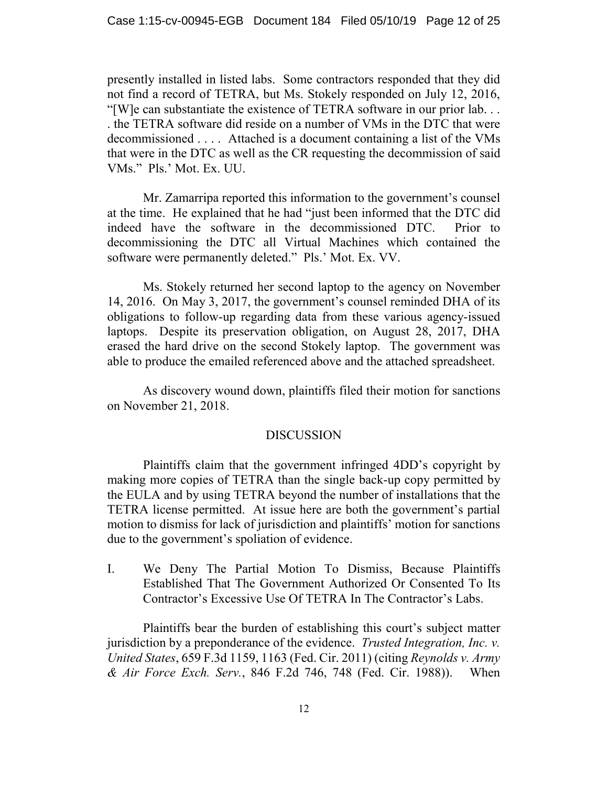presently installed in listed labs. Some contractors responded that they did not find a record of TETRA, but Ms. Stokely responded on July 12, 2016, "[W]e can substantiate the existence of TETRA software in our prior lab. . . . the TETRA software did reside on a number of VMs in the DTC that were decommissioned . . . . Attached is a document containing a list of the VMs that were in the DTC as well as the CR requesting the decommission of said VMs." Pls.' Mot. Ex. UU.

Mr. Zamarripa reported this information to the government's counsel at the time. He explained that he had "just been informed that the DTC did indeed have the software in the decommissioned DTC. Prior to decommissioning the DTC all Virtual Machines which contained the software were permanently deleted." Pls.' Mot. Ex. VV.

Ms. Stokely returned her second laptop to the agency on November 14, 2016. On May 3, 2017, the government's counsel reminded DHA of its obligations to follow-up regarding data from these various agency-issued laptops. Despite its preservation obligation, on August 28, 2017, DHA erased the hard drive on the second Stokely laptop. The government was able to produce the emailed referenced above and the attached spreadsheet.

As discovery wound down, plaintiffs filed their motion for sanctions on November 21, 2018.

## DISCUSSION

Plaintiffs claim that the government infringed 4DD's copyright by making more copies of TETRA than the single back-up copy permitted by the EULA and by using TETRA beyond the number of installations that the TETRA license permitted. At issue here are both the government's partial motion to dismiss for lack of jurisdiction and plaintiffs' motion for sanctions due to the government's spoliation of evidence.

I. We Deny The Partial Motion To Dismiss, Because Plaintiffs Established That The Government Authorized Or Consented To Its Contractor's Excessive Use Of TETRA In The Contractor's Labs.

Plaintiffs bear the burden of establishing this court's subject matter jurisdiction by a preponderance of the evidence. *Trusted Integration, Inc. v. United States*, 659 F.3d 1159, 1163 (Fed. Cir. 2011) (citing *Reynolds v. Army & Air Force Exch. Serv.*, 846 F.2d 746, 748 (Fed. Cir. 1988)). When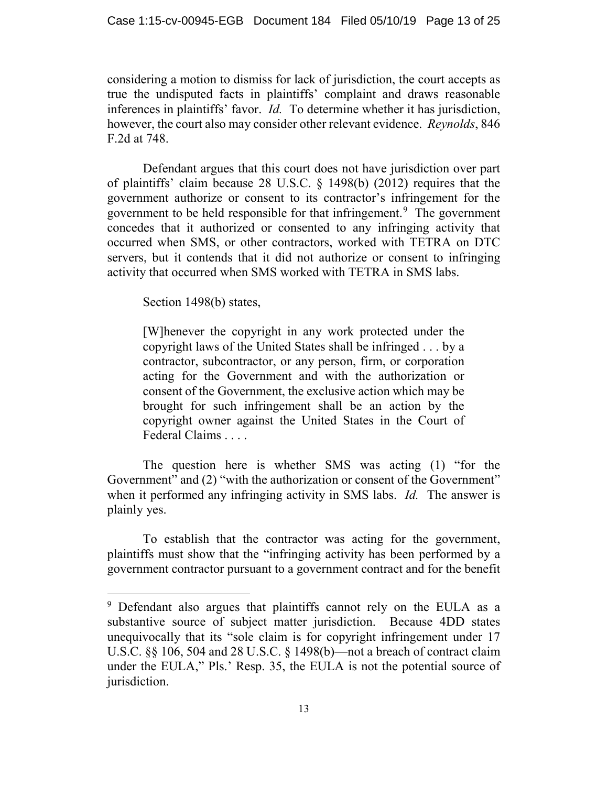considering a motion to dismiss for lack of jurisdiction, the court accepts as true the undisputed facts in plaintiffs' complaint and draws reasonable inferences in plaintiffs' favor. *Id.* To determine whether it has jurisdiction, however, the court also may consider other relevant evidence. *Reynolds*, 846 F.2d at 748.

Defendant argues that this court does not have jurisdiction over part of plaintiffs' claim because 28 U.S.C. § 1498(b) (2012) requires that the government authorize or consent to its contractor's infringement for the government to be held responsible for that infringement.<sup>[9](#page-12-0)</sup> The government concedes that it authorized or consented to any infringing activity that occurred when SMS, or other contractors, worked with TETRA on DTC servers, but it contends that it did not authorize or consent to infringing activity that occurred when SMS worked with TETRA in SMS labs.

Section 1498(b) states,

[W]henever the copyright in any work protected under the copyright laws of the United States shall be infringed . . . by a contractor, subcontractor, or any person, firm, or corporation acting for the Government and with the authorization or consent of the Government, the exclusive action which may be brought for such infringement shall be an action by the copyright owner against the United States in the Court of Federal Claims . . . .

The question here is whether SMS was acting (1) "for the Government" and (2) "with the authorization or consent of the Government" when it performed any infringing activity in SMS labs. *Id.* The answer is plainly yes.

To establish that the contractor was acting for the government, plaintiffs must show that the "infringing activity has been performed by a government contractor pursuant to a government contract and for the benefit

<span id="page-12-0"></span><sup>&</sup>lt;sup>9</sup> Defendant also argues that plaintiffs cannot rely on the EULA as a substantive source of subject matter jurisdiction. Because 4DD states unequivocally that its "sole claim is for copyright infringement under 17 U.S.C. §§ 106, 504 and 28 U.S.C. § 1498(b)—not a breach of contract claim under the EULA," Pls.' Resp. 35, the EULA is not the potential source of jurisdiction.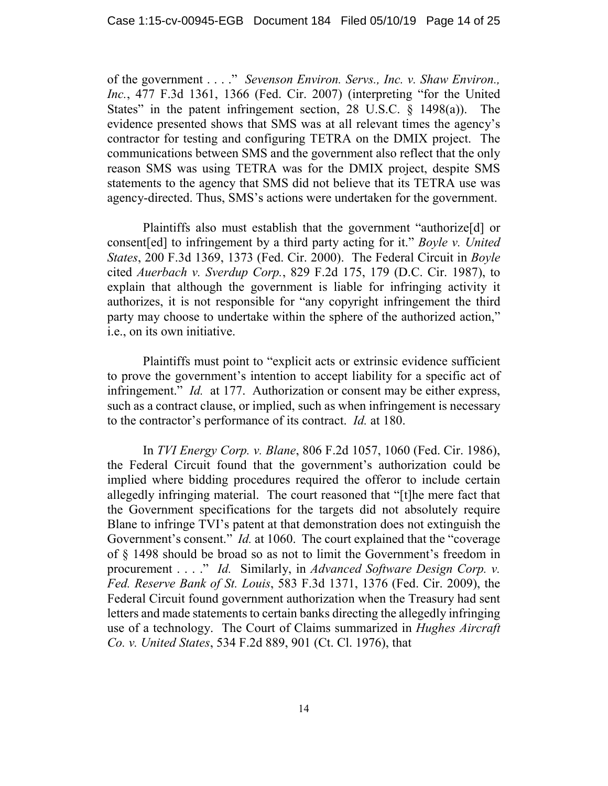of the government . . . ." *Sevenson Environ. Servs., Inc. v. Shaw Environ., Inc.*, 477 F.3d 1361, 1366 (Fed. Cir. 2007) (interpreting "for the United States" in the patent infringement section, 28 U.S.C. § 1498(a)). The evidence presented shows that SMS was at all relevant times the agency's contractor for testing and configuring TETRA on the DMIX project. The communications between SMS and the government also reflect that the only reason SMS was using TETRA was for the DMIX project, despite SMS statements to the agency that SMS did not believe that its TETRA use was agency-directed. Thus, SMS's actions were undertaken for the government.

Plaintiffs also must establish that the government "authorize[d] or consent[ed] to infringement by a third party acting for it." *Boyle v. United States*, 200 F.3d 1369, 1373 (Fed. Cir. 2000). The Federal Circuit in *Boyle* cited *Auerbach v. Sverdup Corp.*, 829 F.2d 175, 179 (D.C. Cir. 1987), to explain that although the government is liable for infringing activity it authorizes, it is not responsible for "any copyright infringement the third party may choose to undertake within the sphere of the authorized action," i.e., on its own initiative.

Plaintiffs must point to "explicit acts or extrinsic evidence sufficient to prove the government's intention to accept liability for a specific act of infringement." *Id.* at 177. Authorization or consent may be either express, such as a contract clause, or implied, such as when infringement is necessary to the contractor's performance of its contract. *Id.* at 180.

In *TVI Energy Corp. v. Blane*, 806 F.2d 1057, 1060 (Fed. Cir. 1986), the Federal Circuit found that the government's authorization could be implied where bidding procedures required the offeror to include certain allegedly infringing material. The court reasoned that "[t]he mere fact that the Government specifications for the targets did not absolutely require Blane to infringe TVI's patent at that demonstration does not extinguish the Government's consent." *Id.* at 1060. The court explained that the "coverage" of § 1498 should be broad so as not to limit the Government's freedom in procurement . . . ." *Id.* Similarly, in *Advanced Software Design Corp. v. Fed. Reserve Bank of St. Louis*, 583 F.3d 1371, 1376 (Fed. Cir. 2009), the Federal Circuit found government authorization when the Treasury had sent letters and made statements to certain banks directing the allegedly infringing use of a technology. The Court of Claims summarized in *Hughes Aircraft Co. v. United States*, 534 F.2d 889, 901 (Ct. Cl. 1976), that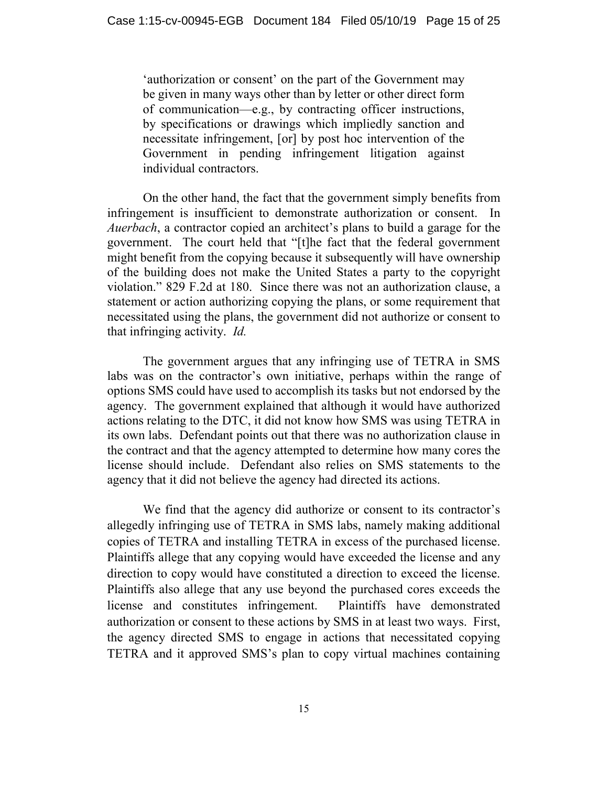'authorization or consent' on the part of the Government may be given in many ways other than by letter or other direct form of communication—e.g., by contracting officer instructions, by specifications or drawings which impliedly sanction and necessitate infringement, [or] by post hoc intervention of the Government in pending infringement litigation against individual contractors.

On the other hand, the fact that the government simply benefits from infringement is insufficient to demonstrate authorization or consent. In *Auerbach*, a contractor copied an architect's plans to build a garage for the government. The court held that "[t]he fact that the federal government might benefit from the copying because it subsequently will have ownership of the building does not make the United States a party to the copyright violation." 829 F.2d at 180. Since there was not an authorization clause, a statement or action authorizing copying the plans, or some requirement that necessitated using the plans, the government did not authorize or consent to that infringing activity. *Id.* 

The government argues that any infringing use of TETRA in SMS labs was on the contractor's own initiative, perhaps within the range of options SMS could have used to accomplish its tasks but not endorsed by the agency. The government explained that although it would have authorized actions relating to the DTC, it did not know how SMS was using TETRA in its own labs. Defendant points out that there was no authorization clause in the contract and that the agency attempted to determine how many cores the license should include. Defendant also relies on SMS statements to the agency that it did not believe the agency had directed its actions.

We find that the agency did authorize or consent to its contractor's allegedly infringing use of TETRA in SMS labs, namely making additional copies of TETRA and installing TETRA in excess of the purchased license. Plaintiffs allege that any copying would have exceeded the license and any direction to copy would have constituted a direction to exceed the license. Plaintiffs also allege that any use beyond the purchased cores exceeds the license and constitutes infringement. Plaintiffs have demonstrated authorization or consent to these actions by SMS in at least two ways. First, the agency directed SMS to engage in actions that necessitated copying TETRA and it approved SMS's plan to copy virtual machines containing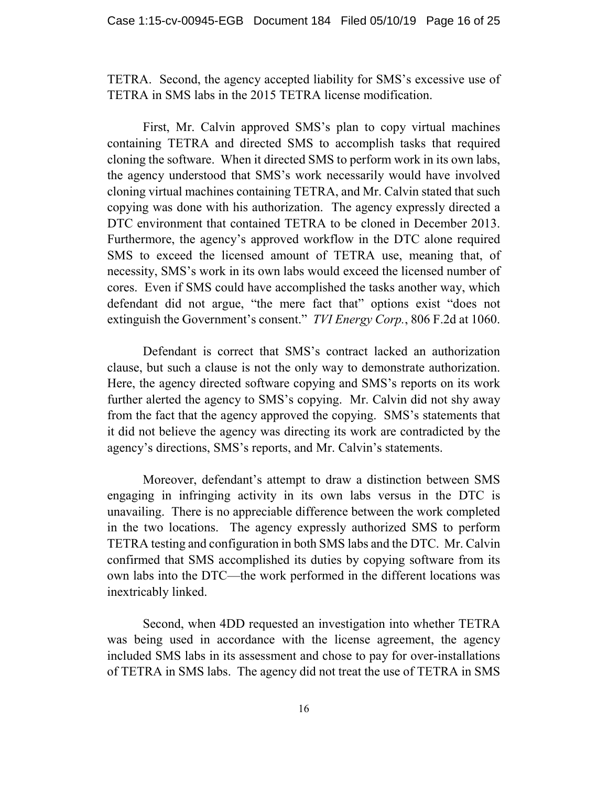TETRA. Second, the agency accepted liability for SMS's excessive use of TETRA in SMS labs in the 2015 TETRA license modification.

First, Mr. Calvin approved SMS's plan to copy virtual machines containing TETRA and directed SMS to accomplish tasks that required cloning the software. When it directed SMS to perform work in its own labs, the agency understood that SMS's work necessarily would have involved cloning virtual machines containing TETRA, and Mr. Calvin stated that such copying was done with his authorization. The agency expressly directed a DTC environment that contained TETRA to be cloned in December 2013. Furthermore, the agency's approved workflow in the DTC alone required SMS to exceed the licensed amount of TETRA use, meaning that, of necessity, SMS's work in its own labs would exceed the licensed number of cores. Even if SMS could have accomplished the tasks another way, which defendant did not argue, "the mere fact that" options exist "does not extinguish the Government's consent." *TVI Energy Corp.*, 806 F.2d at 1060.

Defendant is correct that SMS's contract lacked an authorization clause, but such a clause is not the only way to demonstrate authorization. Here, the agency directed software copying and SMS's reports on its work further alerted the agency to SMS's copying. Mr. Calvin did not shy away from the fact that the agency approved the copying. SMS's statements that it did not believe the agency was directing its work are contradicted by the agency's directions, SMS's reports, and Mr. Calvin's statements.

Moreover, defendant's attempt to draw a distinction between SMS engaging in infringing activity in its own labs versus in the DTC is unavailing. There is no appreciable difference between the work completed in the two locations. The agency expressly authorized SMS to perform TETRA testing and configuration in both SMS labs and the DTC. Mr. Calvin confirmed that SMS accomplished its duties by copying software from its own labs into the DTC—the work performed in the different locations was inextricably linked.

Second, when 4DD requested an investigation into whether TETRA was being used in accordance with the license agreement, the agency included SMS labs in its assessment and chose to pay for over-installations of TETRA in SMS labs. The agency did not treat the use of TETRA in SMS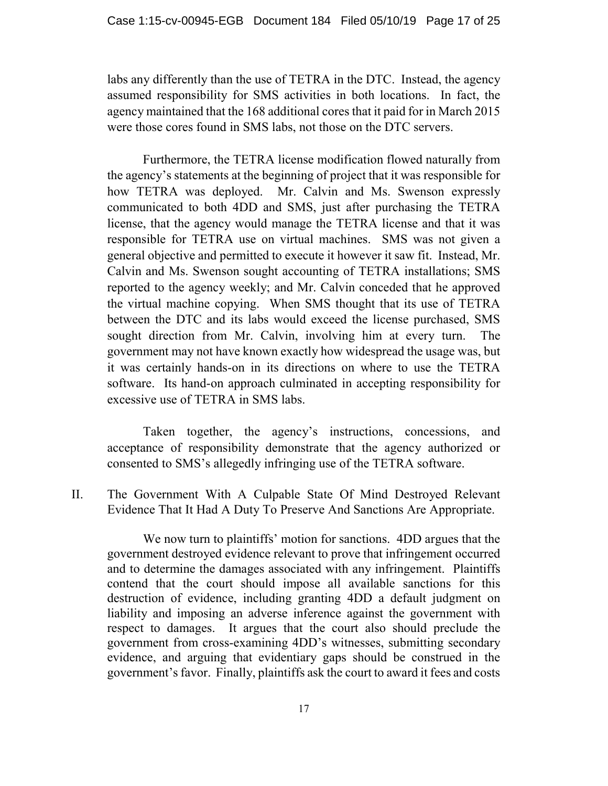labs any differently than the use of TETRA in the DTC. Instead, the agency assumed responsibility for SMS activities in both locations. In fact, the agency maintained that the 168 additional cores that it paid for in March 2015 were those cores found in SMS labs, not those on the DTC servers.

Furthermore, the TETRA license modification flowed naturally from the agency's statements at the beginning of project that it was responsible for how TETRA was deployed. Mr. Calvin and Ms. Swenson expressly communicated to both 4DD and SMS, just after purchasing the TETRA license, that the agency would manage the TETRA license and that it was responsible for TETRA use on virtual machines. SMS was not given a general objective and permitted to execute it however it saw fit. Instead, Mr. Calvin and Ms. Swenson sought accounting of TETRA installations; SMS reported to the agency weekly; and Mr. Calvin conceded that he approved the virtual machine copying. When SMS thought that its use of TETRA between the DTC and its labs would exceed the license purchased, SMS sought direction from Mr. Calvin, involving him at every turn. The government may not have known exactly how widespread the usage was, but it was certainly hands-on in its directions on where to use the TETRA software. Its hand-on approach culminated in accepting responsibility for excessive use of TETRA in SMS labs.

Taken together, the agency's instructions, concessions, and acceptance of responsibility demonstrate that the agency authorized or consented to SMS's allegedly infringing use of the TETRA software.

II. The Government With A Culpable State Of Mind Destroyed Relevant Evidence That It Had A Duty To Preserve And Sanctions Are Appropriate.

We now turn to plaintiffs' motion for sanctions. 4DD argues that the government destroyed evidence relevant to prove that infringement occurred and to determine the damages associated with any infringement. Plaintiffs contend that the court should impose all available sanctions for this destruction of evidence, including granting 4DD a default judgment on liability and imposing an adverse inference against the government with respect to damages. It argues that the court also should preclude the government from cross-examining 4DD's witnesses, submitting secondary evidence, and arguing that evidentiary gaps should be construed in the government's favor. Finally, plaintiffs ask the court to award it fees and costs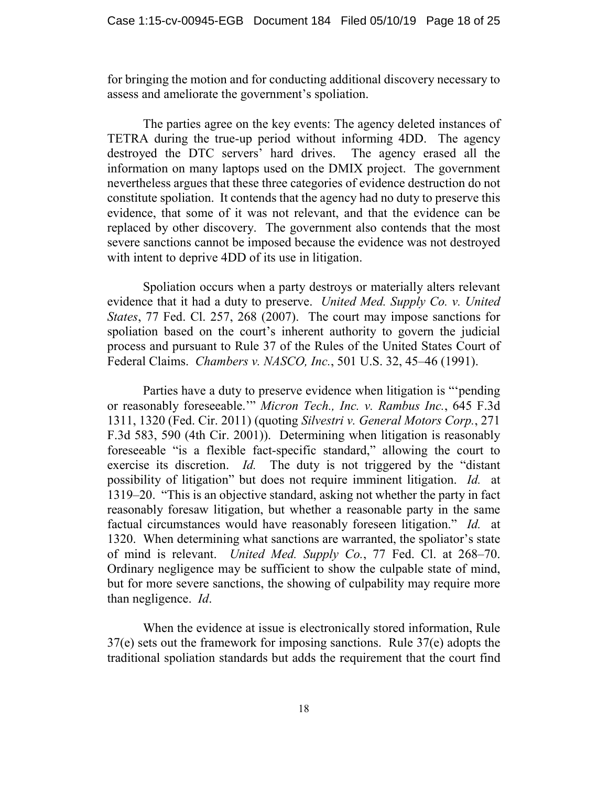for bringing the motion and for conducting additional discovery necessary to assess and ameliorate the government's spoliation.

The parties agree on the key events: The agency deleted instances of TETRA during the true-up period without informing 4DD. The agency destroyed the DTC servers' hard drives. The agency erased all the information on many laptops used on the DMIX project. The government nevertheless argues that these three categories of evidence destruction do not constitute spoliation. It contends that the agency had no duty to preserve this evidence, that some of it was not relevant, and that the evidence can be replaced by other discovery. The government also contends that the most severe sanctions cannot be imposed because the evidence was not destroyed with intent to deprive 4DD of its use in litigation.

Spoliation occurs when a party destroys or materially alters relevant evidence that it had a duty to preserve. *United Med. Supply Co. v. United States*, 77 Fed. Cl. 257, 268 (2007).The court may impose sanctions for spoliation based on the court's inherent authority to govern the judicial process and pursuant to Rule 37 of the Rules of the United States Court of Federal Claims. *Chambers v. NASCO, Inc.*, 501 U.S. 32, 45–46 (1991).

Parties have a duty to preserve evidence when litigation is "'pending or reasonably foreseeable.'" *Micron Tech., Inc. v. Rambus Inc.*, 645 F.3d 1311, 1320 (Fed. Cir. 2011) (quoting *Silvestri v. General Motors Corp.*, 271 F.3d 583, 590 (4th Cir. 2001)). Determining when litigation is reasonably foreseeable "is a flexible fact-specific standard," allowing the court to exercise its discretion. *Id.* The duty is not triggered by the "distant possibility of litigation" but does not require imminent litigation. *Id.* at 1319–20. "This is an objective standard, asking not whether the party in fact reasonably foresaw litigation, but whether a reasonable party in the same factual circumstances would have reasonably foreseen litigation." *Id.* at 1320. When determining what sanctions are warranted, the spoliator's state of mind is relevant. *United Med. Supply Co.*, 77 Fed. Cl. at 268–70. Ordinary negligence may be sufficient to show the culpable state of mind, but for more severe sanctions, the showing of culpability may require more than negligence. *Id*.

When the evidence at issue is electronically stored information, Rule 37(e) sets out the framework for imposing sanctions. Rule 37(e) adopts the traditional spoliation standards but adds the requirement that the court find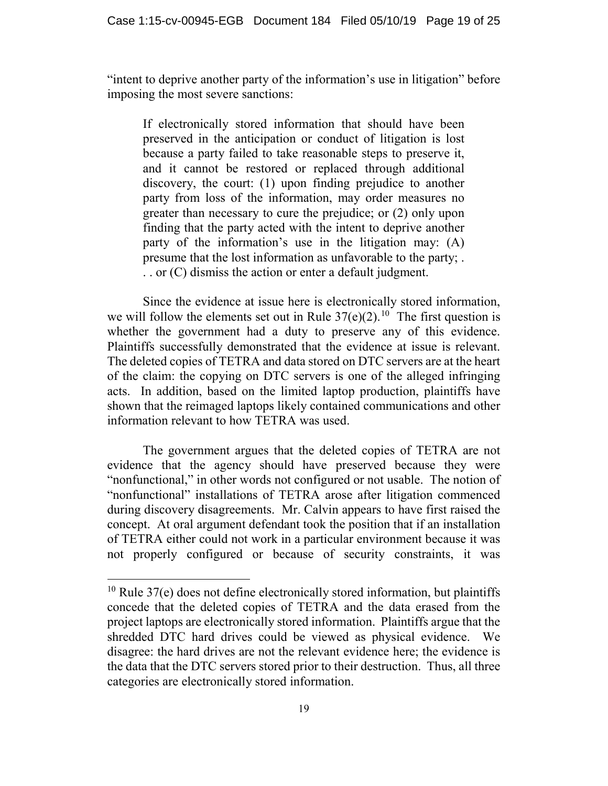"intent to deprive another party of the information's use in litigation" before imposing the most severe sanctions:

If electronically stored information that should have been preserved in the anticipation or conduct of litigation is lost because a party failed to take reasonable steps to preserve it, and it cannot be restored or replaced through additional discovery, the court: (1) upon finding prejudice to another party from loss of the information, may order measures no greater than necessary to cure the prejudice; or (2) only upon finding that the party acted with the intent to deprive another party of the information's use in the litigation may: (A) presume that the lost information as unfavorable to the party; . . . or (C) dismiss the action or enter a default judgment.

Since the evidence at issue here is electronically stored information, we will follow the elements set out in Rule  $37(e)(2)$ .<sup>[10](#page-18-0)</sup> The first question is whether the government had a duty to preserve any of this evidence. Plaintiffs successfully demonstrated that the evidence at issue is relevant. The deleted copies of TETRA and data stored on DTC servers are at the heart of the claim: the copying on DTC servers is one of the alleged infringing acts. In addition, based on the limited laptop production, plaintiffs have shown that the reimaged laptops likely contained communications and other information relevant to how TETRA was used.

The government argues that the deleted copies of TETRA are not evidence that the agency should have preserved because they were "nonfunctional," in other words not configured or not usable. The notion of "nonfunctional" installations of TETRA arose after litigation commenced during discovery disagreements. Mr. Calvin appears to have first raised the concept. At oral argument defendant took the position that if an installation of TETRA either could not work in a particular environment because it was not properly configured or because of security constraints, it was

<span id="page-18-0"></span> $10$  Rule 37(e) does not define electronically stored information, but plaintiffs concede that the deleted copies of TETRA and the data erased from the project laptops are electronically stored information. Plaintiffs argue that the shredded DTC hard drives could be viewed as physical evidence. We disagree: the hard drives are not the relevant evidence here; the evidence is the data that the DTC servers stored prior to their destruction. Thus, all three categories are electronically stored information.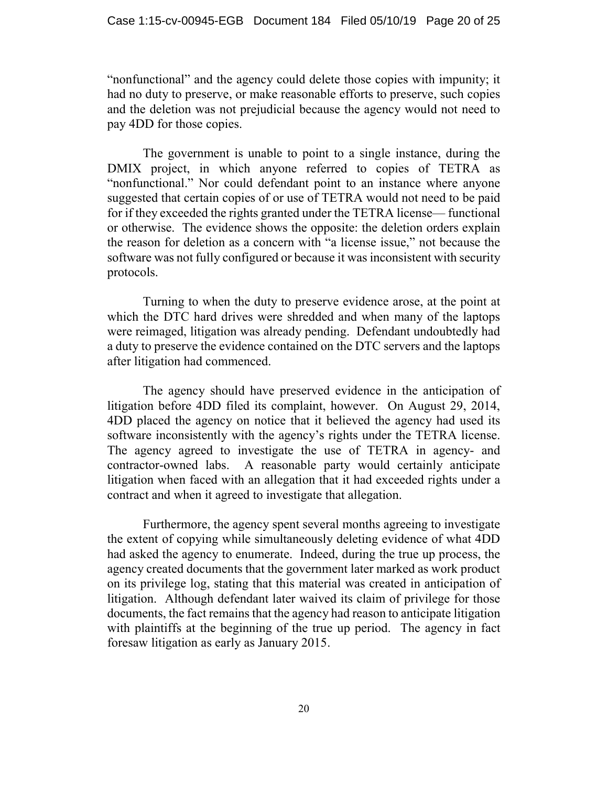"nonfunctional" and the agency could delete those copies with impunity; it had no duty to preserve, or make reasonable efforts to preserve, such copies and the deletion was not prejudicial because the agency would not need to pay 4DD for those copies.

The government is unable to point to a single instance, during the DMIX project, in which anyone referred to copies of TETRA as "nonfunctional." Nor could defendant point to an instance where anyone suggested that certain copies of or use of TETRA would not need to be paid for if they exceeded the rights granted under the TETRA license— functional or otherwise. The evidence shows the opposite: the deletion orders explain the reason for deletion as a concern with "a license issue," not because the software was not fully configured or because it was inconsistent with security protocols.

Turning to when the duty to preserve evidence arose, at the point at which the DTC hard drives were shredded and when many of the laptops were reimaged, litigation was already pending. Defendant undoubtedly had a duty to preserve the evidence contained on the DTC servers and the laptops after litigation had commenced.

The agency should have preserved evidence in the anticipation of litigation before 4DD filed its complaint, however. On August 29, 2014, 4DD placed the agency on notice that it believed the agency had used its software inconsistently with the agency's rights under the TETRA license. The agency agreed to investigate the use of TETRA in agency- and contractor-owned labs. A reasonable party would certainly anticipate litigation when faced with an allegation that it had exceeded rights under a contract and when it agreed to investigate that allegation.

Furthermore, the agency spent several months agreeing to investigate the extent of copying while simultaneously deleting evidence of what 4DD had asked the agency to enumerate. Indeed, during the true up process, the agency created documents that the government later marked as work product on its privilege log, stating that this material was created in anticipation of litigation. Although defendant later waived its claim of privilege for those documents, the fact remains that the agency had reason to anticipate litigation with plaintiffs at the beginning of the true up period. The agency in fact foresaw litigation as early as January 2015.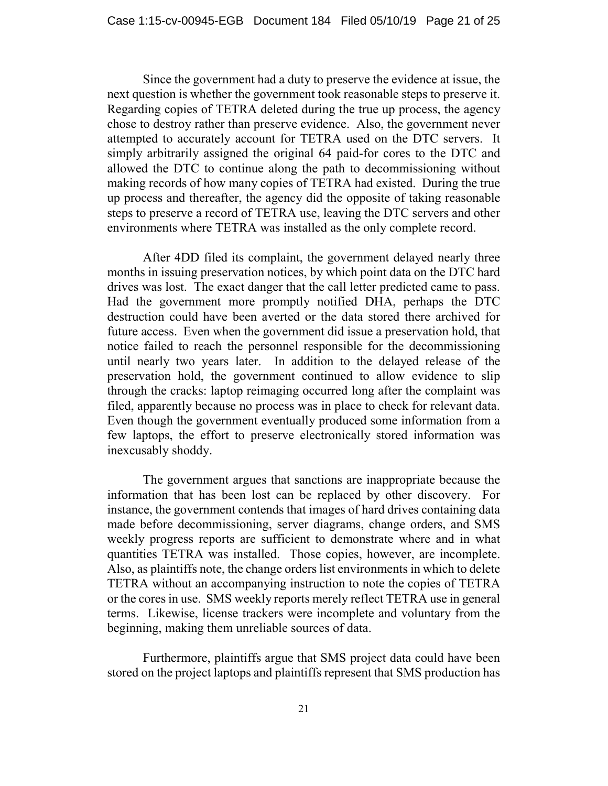Since the government had a duty to preserve the evidence at issue, the next question is whether the government took reasonable steps to preserve it. Regarding copies of TETRA deleted during the true up process, the agency chose to destroy rather than preserve evidence. Also, the government never attempted to accurately account for TETRA used on the DTC servers. It simply arbitrarily assigned the original 64 paid-for cores to the DTC and allowed the DTC to continue along the path to decommissioning without making records of how many copies of TETRA had existed. During the true up process and thereafter, the agency did the opposite of taking reasonable steps to preserve a record of TETRA use, leaving the DTC servers and other environments where TETRA was installed as the only complete record.

After 4DD filed its complaint, the government delayed nearly three months in issuing preservation notices, by which point data on the DTC hard drives was lost. The exact danger that the call letter predicted came to pass. Had the government more promptly notified DHA, perhaps the DTC destruction could have been averted or the data stored there archived for future access. Even when the government did issue a preservation hold, that notice failed to reach the personnel responsible for the decommissioning until nearly two years later. In addition to the delayed release of the preservation hold, the government continued to allow evidence to slip through the cracks: laptop reimaging occurred long after the complaint was filed, apparently because no process was in place to check for relevant data. Even though the government eventually produced some information from a few laptops, the effort to preserve electronically stored information was inexcusably shoddy.

The government argues that sanctions are inappropriate because the information that has been lost can be replaced by other discovery. For instance, the government contends that images of hard drives containing data made before decommissioning, server diagrams, change orders, and SMS weekly progress reports are sufficient to demonstrate where and in what quantities TETRA was installed. Those copies, however, are incomplete. Also, as plaintiffs note, the change orders list environments in which to delete TETRA without an accompanying instruction to note the copies of TETRA or the cores in use. SMS weekly reports merely reflect TETRA use in general terms. Likewise, license trackers were incomplete and voluntary from the beginning, making them unreliable sources of data.

Furthermore, plaintiffs argue that SMS project data could have been stored on the project laptops and plaintiffs represent that SMS production has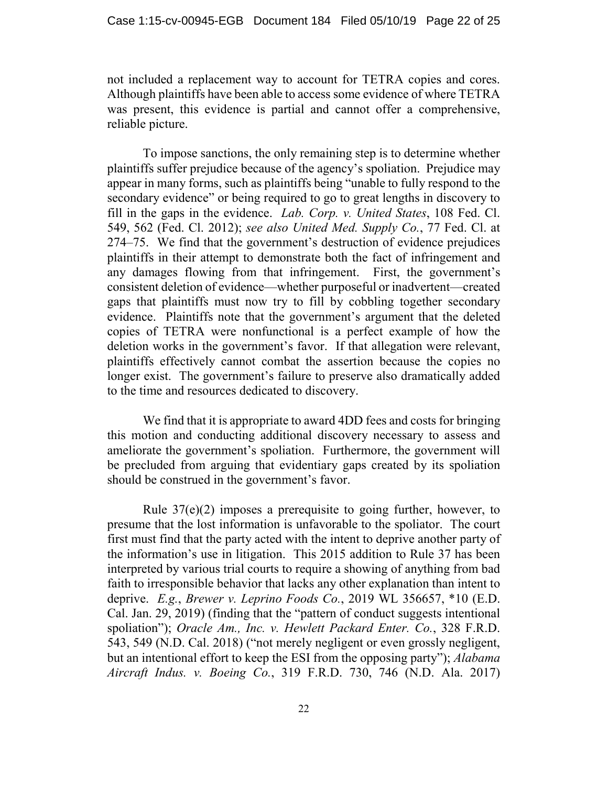not included a replacement way to account for TETRA copies and cores. Although plaintiffs have been able to access some evidence of where TETRA was present, this evidence is partial and cannot offer a comprehensive, reliable picture.

To impose sanctions, the only remaining step is to determine whether plaintiffs suffer prejudice because of the agency's spoliation. Prejudice may appear in many forms, such as plaintiffs being "unable to fully respond to the secondary evidence" or being required to go to great lengths in discovery to fill in the gaps in the evidence. *Lab. Corp. v. United States*, 108 Fed. Cl. 549, 562 (Fed. Cl. 2012); *see also United Med. Supply Co.*, 77 Fed. Cl. at 274–75. We find that the government's destruction of evidence prejudices plaintiffs in their attempt to demonstrate both the fact of infringement and any damages flowing from that infringement. First, the government's consistent deletion of evidence—whether purposeful or inadvertent—created gaps that plaintiffs must now try to fill by cobbling together secondary evidence. Plaintiffs note that the government's argument that the deleted copies of TETRA were nonfunctional is a perfect example of how the deletion works in the government's favor. If that allegation were relevant, plaintiffs effectively cannot combat the assertion because the copies no longer exist. The government's failure to preserve also dramatically added to the time and resources dedicated to discovery.

We find that it is appropriate to award 4DD fees and costs for bringing this motion and conducting additional discovery necessary to assess and ameliorate the government's spoliation. Furthermore, the government will be precluded from arguing that evidentiary gaps created by its spoliation should be construed in the government's favor.

Rule 37(e)(2) imposes a prerequisite to going further, however, to presume that the lost information is unfavorable to the spoliator. The court first must find that the party acted with the intent to deprive another party of the information's use in litigation. This 2015 addition to Rule 37 has been interpreted by various trial courts to require a showing of anything from bad faith to irresponsible behavior that lacks any other explanation than intent to deprive. *E.g.*, *Brewer v. Leprino Foods Co.*, 2019 WL 356657, \*10 (E.D. Cal. Jan. 29, 2019) (finding that the "pattern of conduct suggests intentional spoliation"); *Oracle Am., Inc. v. Hewlett Packard Enter. Co.*, 328 F.R.D. 543, 549 (N.D. Cal. 2018) ("not merely negligent or even grossly negligent, but an intentional effort to keep the ESI from the opposing party"); *Alabama Aircraft Indus. v. Boeing Co.*, 319 F.R.D. 730, 746 (N.D. Ala. 2017)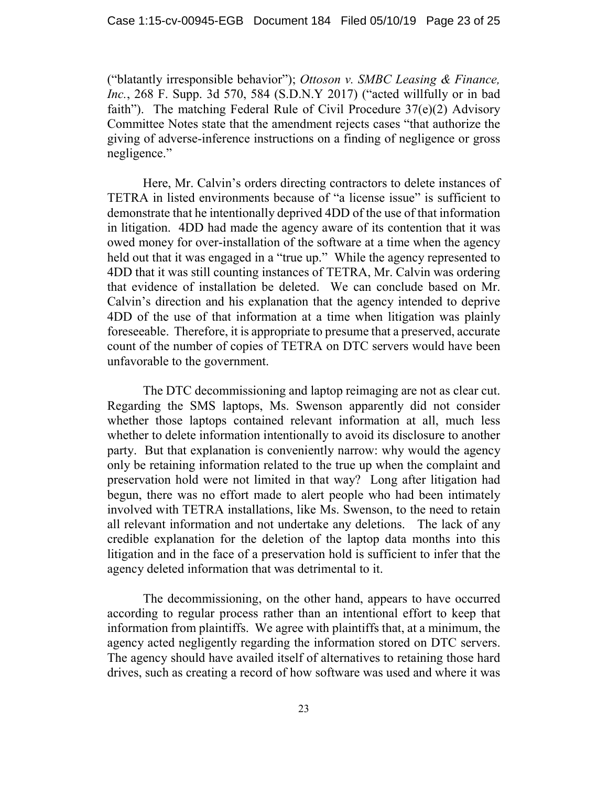("blatantly irresponsible behavior"); *Ottoson v. SMBC Leasing & Finance, Inc.*, 268 F. Supp. 3d 570, 584 (S.D.N.Y 2017) ("acted willfully or in bad faith"). The matching Federal Rule of Civil Procedure 37(e)(2) Advisory Committee Notes state that the amendment rejects cases "that authorize the giving of adverse-inference instructions on a finding of negligence or gross negligence."

Here, Mr. Calvin's orders directing contractors to delete instances of TETRA in listed environments because of "a license issue" is sufficient to demonstrate that he intentionally deprived 4DD of the use of that information in litigation. 4DD had made the agency aware of its contention that it was owed money for over-installation of the software at a time when the agency held out that it was engaged in a "true up." While the agency represented to 4DD that it was still counting instances of TETRA, Mr. Calvin was ordering that evidence of installation be deleted. We can conclude based on Mr. Calvin's direction and his explanation that the agency intended to deprive 4DD of the use of that information at a time when litigation was plainly foreseeable. Therefore, it is appropriate to presume that a preserved, accurate count of the number of copies of TETRA on DTC servers would have been unfavorable to the government.

The DTC decommissioning and laptop reimaging are not as clear cut. Regarding the SMS laptops, Ms. Swenson apparently did not consider whether those laptops contained relevant information at all, much less whether to delete information intentionally to avoid its disclosure to another party. But that explanation is conveniently narrow: why would the agency only be retaining information related to the true up when the complaint and preservation hold were not limited in that way? Long after litigation had begun, there was no effort made to alert people who had been intimately involved with TETRA installations, like Ms. Swenson, to the need to retain all relevant information and not undertake any deletions. The lack of any credible explanation for the deletion of the laptop data months into this litigation and in the face of a preservation hold is sufficient to infer that the agency deleted information that was detrimental to it.

The decommissioning, on the other hand, appears to have occurred according to regular process rather than an intentional effort to keep that information from plaintiffs. We agree with plaintiffs that, at a minimum, the agency acted negligently regarding the information stored on DTC servers. The agency should have availed itself of alternatives to retaining those hard drives, such as creating a record of how software was used and where it was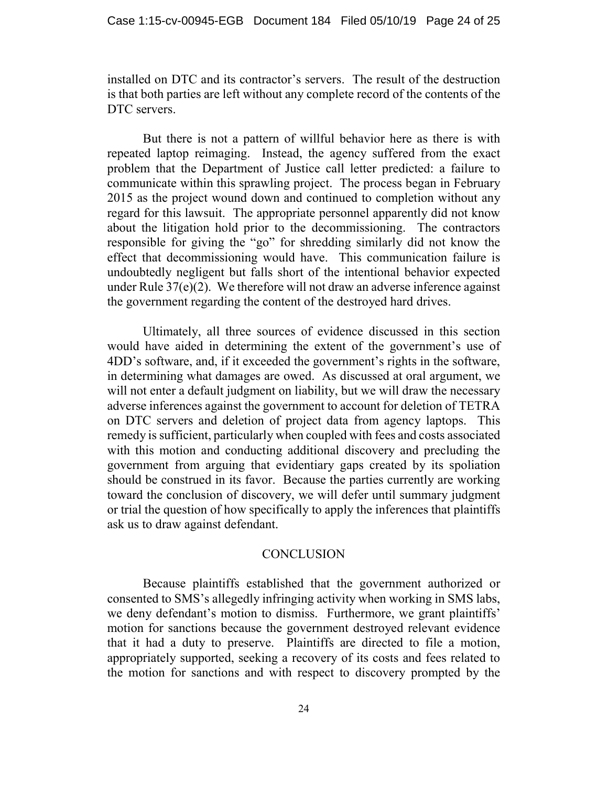installed on DTC and its contractor's servers. The result of the destruction is that both parties are left without any complete record of the contents of the DTC servers.

But there is not a pattern of willful behavior here as there is with repeated laptop reimaging. Instead, the agency suffered from the exact problem that the Department of Justice call letter predicted: a failure to communicate within this sprawling project. The process began in February 2015 as the project wound down and continued to completion without any regard for this lawsuit. The appropriate personnel apparently did not know about the litigation hold prior to the decommissioning. The contractors responsible for giving the "go" for shredding similarly did not know the effect that decommissioning would have. This communication failure is undoubtedly negligent but falls short of the intentional behavior expected under Rule 37(e)(2). We therefore will not draw an adverse inference against the government regarding the content of the destroyed hard drives.

Ultimately, all three sources of evidence discussed in this section would have aided in determining the extent of the government's use of 4DD's software, and, if it exceeded the government's rights in the software, in determining what damages are owed. As discussed at oral argument, we will not enter a default judgment on liability, but we will draw the necessary adverse inferences against the government to account for deletion of TETRA on DTC servers and deletion of project data from agency laptops. This remedy is sufficient, particularly when coupled with fees and costs associated with this motion and conducting additional discovery and precluding the government from arguing that evidentiary gaps created by its spoliation should be construed in its favor. Because the parties currently are working toward the conclusion of discovery, we will defer until summary judgment or trial the question of how specifically to apply the inferences that plaintiffs ask us to draw against defendant.

### **CONCLUSION**

Because plaintiffs established that the government authorized or consented to SMS's allegedly infringing activity when working in SMS labs, we deny defendant's motion to dismiss. Furthermore, we grant plaintiffs' motion for sanctions because the government destroyed relevant evidence that it had a duty to preserve. Plaintiffs are directed to file a motion, appropriately supported, seeking a recovery of its costs and fees related to the motion for sanctions and with respect to discovery prompted by the